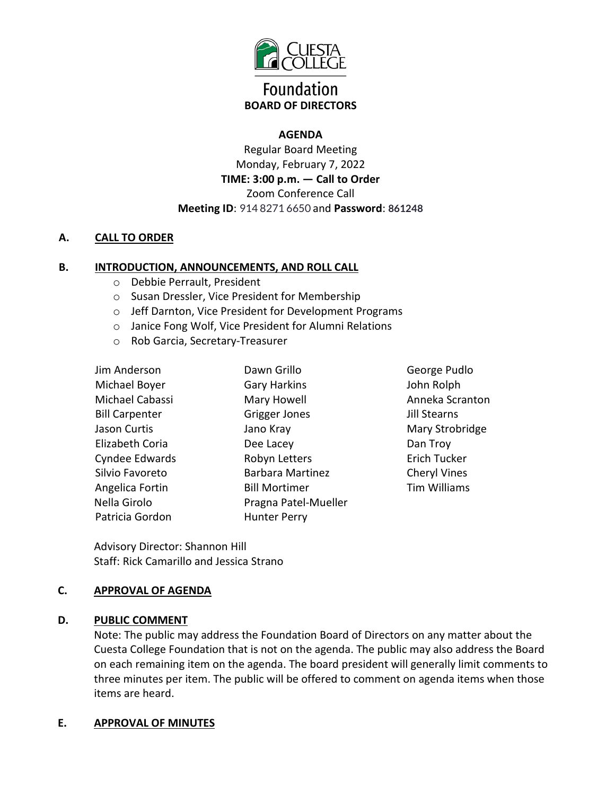

# **Foundation BOARD OF DIRECTORS**

# **AGENDA**

Regular Board Meeting Monday, February 7, 2022 **TIME: 3:00 p.m. — Call to Order**  Zoom Conference Call **Meeting ID**: 914 8271 6650 and **Password**: **861248**

# **A. CALL TO ORDER**

# **B. INTRODUCTION, ANNOUNCEMENTS, AND ROLL CALL**

- o Debbie Perrault, President
- o Susan Dressler, Vice President for Membership
- o Jeff Darnton, Vice President for Development Programs
- o Janice Fong Wolf, Vice President for Alumni Relations
- o Rob Garcia, Secretary-Treasurer

| Jim Anderson          | Dawn Grillo             |
|-----------------------|-------------------------|
| Michael Boyer         | <b>Gary Harkins</b>     |
| Michael Cabassi       | Mary Howell             |
| <b>Bill Carpenter</b> | Grigger Jones           |
| Jason Curtis          | Jano Kray               |
| Elizabeth Coria       | Dee Lacey               |
| Cyndee Edwards        | Robyn Letters           |
| Silvio Favoreto       | <b>Barbara Martinez</b> |
| Angelica Fortin       | <b>Bill Mortimer</b>    |
| Nella Girolo          | Pragna Patel-Mueller    |
| Patricia Gordon       | <b>Hunter Perry</b>     |

George Pudlo John Rolph Anneka Scranton Jill Stearns Mary Strobridge Dan Troy Erich Tucker Cheryl Vines Tim Williams

Advisory Director: Shannon Hill Staff: Rick Camarillo and Jessica Strano

### **C. APPROVAL OF AGENDA**

### **D. PUBLIC COMMENT**

Note: The public may address the Foundation Board of Directors on any matter about the Cuesta College Foundation that is not on the agenda. The public may also address the Board on each remaining item on the agenda. The board president will generally limit comments to three minutes per item. The public will be offered to comment on agenda items when those items are heard.

### **E. APPROVAL OF MINUTES**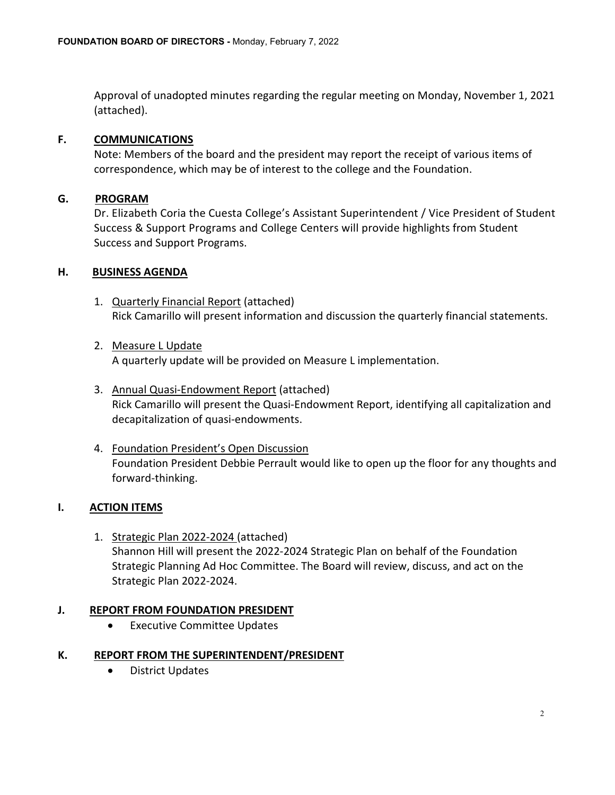Approval of unadopted minutes regarding the regular meeting on Monday, November 1, 2021 (attached).

### **F. COMMUNICATIONS**

Note: Members of the board and the president may report the receipt of various items of correspondence, which may be of interest to the college and the Foundation.

# **G. PROGRAM**

Dr. Elizabeth Coria the Cuesta College's Assistant Superintendent / Vice President of Student Success & Support Programs and College Centers will provide highlights from Student Success and Support Programs.

# **H. BUSINESS AGENDA**

- 1. Quarterly Financial Report (attached) Rick Camarillo will present information and discussion the quarterly financial statements.
- 2. Measure L Update A quarterly update will be provided on Measure L implementation.
- 3. Annual Quasi-Endowment Report (attached) Rick Camarillo will present the Quasi-Endowment Report, identifying all capitalization and decapitalization of quasi-endowments.
- 4. Foundation President's Open Discussion Foundation President Debbie Perrault would like to open up the floor for any thoughts and forward-thinking.

# **I. ACTION ITEMS**

1. Strategic Plan 2022-2024 (attached) Shannon Hill will present the 2022-2024 Strategic Plan on behalf of the Foundation Strategic Planning Ad Hoc Committee. The Board will review, discuss, and act on the Strategic Plan 2022-2024.

### **J. REPORT FROM FOUNDATION PRESIDENT**

• Executive Committee Updates

### **K. REPORT FROM THE SUPERINTENDENT/PRESIDENT**

• District Updates